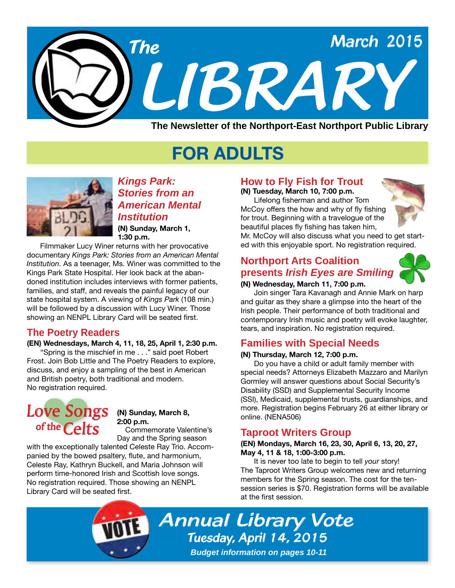

# **FOR ADULTS**



*Kings Park: Stories from an American Mental Institution*

**(N) Sunday, March 1, 1:30 p.m.**

Filmmaker Lucy Winer returns with her provocative documentary *Kings Park: Stories from an American Mental Institution*. As a teenager, Ms. Winer was committed to the Kings Park State Hospital. Her look back at the abandoned institution includes interviews with former patients, families, and staff, and reveals the painful legacy of our state hospital system. A viewing of *Kings Park* (108 min.) will be followed by a discussion with Lucy Winer. Those showing an NENPL Library Card will be seated first.

#### **The Poetry Readers**

**(EN) Wednesdays, March 4, 11, 18, 25, April 1, 2:30 p.m.** "Spring is the mischief in me . . ." said poet Robert Frost. Join Bob Little and The Poetry Readers to explore, discuss, and enjoy a sampling of the best in American and British poetry, both traditional and modern. No registration required.

## **Ve Sor**<br>The Celt Love Songs of the  $Celts$

#### **(N) Sunday, March 8, 2:00 p.m.**

 Commemorate Valentine's Day and the Spring season

with the exceptionally talented Celeste Ray Trio. Accompanied by the bowed psaltery, flute, and harmonium, Celeste Ray, Kathryn Buckell, and Maria Johnson will perform time-honored Irish and Scottish love songs. No registration required. Those showing an NENPL Library Card will be seated first.

#### **How to Fly Fish for Trout**

**(N) Tuesday, March 10, 7:00 p.m.** Lifelong fisherman and author Tom McCoy offers the how and why of fly fishing for trout. Beginning with a travelogue of the beautiful places fly fishing has taken him,



Mr. McCoy will also discuss what you need to get started with this enjoyable sport. No registration required.

#### **Northport Arts Coalition presents** *Irish Eyes are Smiling*



#### **(N) Wednesday, March 11, 7:00 p.m.**

Join singer Tara Kavanagh and Annie Mark on harp and guitar as they share a glimpse into the heart of the Irish people. Their performance of both traditional and contemporary Irish music and poetry will evoke laughter, tears, and inspiration. No registration required.

#### **Families with Special Needs**

#### **(N) Thursday, March 12, 7:00 p.m.**

Do you have a child or adult family member with special needs? Attorneys Elizabeth Mazzaro and Marilyn Gormley will answer questions about Social Security's Disability (SSD) and Supplemental Security Income (SSI), Medicaid, supplemental trusts, guardianships, and more. Registration begins February 26 at either library or online. ([NENA506\)](http://alpha2.suffolk.lib.ny.us/search/?searchtype=X&SORT=D&searcharg=nena506&searchscope=43)

#### **Taproot Writers Group**

#### **(EN) Mondays, March 16, 23, 30, April 6, 13, 20, 27, May 4, 11 & 18, 1:00-3:00 p.m.**

It is never too late to begin to tell *your* story! The Taproot Writers Group welcomes new and returning members for the Spring season. The cost for the tensession series is \$70. Registration forms will be available at the first session.

*Annual Library Vote Tuesday, April 14, 2015 Budget information on pages 10-11*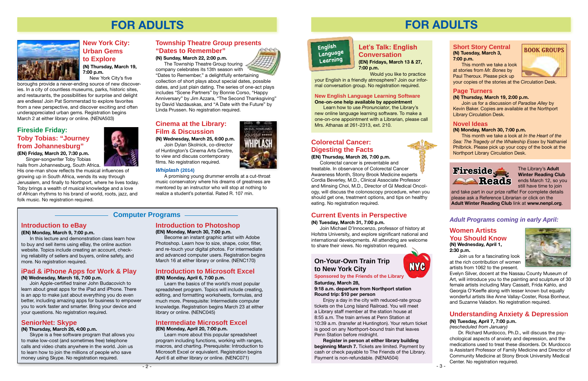

## **FOR ADULTS**



#### **Computer Programs**

#### **Introduction to eBay**

#### **(EN) Monday, March 9, 7:00 p.m.**

In this lecture and demonstration class learn how to buy and sell items using eBay, the online auction website. Topics include creating an account, checking reliability of sellers and buyers, online safety, and more. No registration required.

#### **Intermediate Microsoft Excel (EN) Monday, April 20, 7:00 p.m.**

Learn more about this popular spreadsheet program including functions, working with ranges, macros, and charting. Prerequisite: Introduction to Microsoft Excel or equivalent. Registration begins April 6 at either library or online. [\(NENC071\)](http://alpha2.suffolk.lib.ny.us/search/?searchtype=X&SORT=D&searcharg=nenc071&searchscope=43)



#### **iPad & iPhone Apps for Work & Play**

#### **(N) Wednesday, March 18, 7:00 p.m.**

Join Apple-certified trainer John Budacovich to learn about great apps for the iPad and iPhone. There is an app to make just about everything you do even better, including amazing apps for business to empower you to work faster and smarter. Bring your device and your questions. No registration required.

#### **SeniorNet: Skype**

#### **(N) Thursday, March 26, 4:00 p.m.**

Skype is a free software program that allows you to make low-cost (and sometimes free) telephone calls and video chats anywhere in the world. Join us to learn how to join the millions of people who save money using Skype. No registration required.

The Township Theatre Group touring company celebrates its 13th season with

#### **Introduction to Photoshop (EN) Monday, March 30, 7:00 p.m.**

Become an instant graphic artist with Adobe Photoshop. Learn how to size, shape, color, filter, and re-touch your digital photos. For intermediate and advanced computer users. Registration begins March 16 at either library or online. ([NENC170](http://alpha2.suffolk.lib.ny.us/search/?searchtype=X&SORT=D&searcharg=nenc170&searchscope=43))

#### **Introduction to Microsoft Excel**

#### **(EN) Monday, April 6, 7:00 p.m.**

Learn the basics of the world's most popular spreadsheet program. Topics will include creating, editing, and formatting worksheets, formulas, and much more. Prerequisite: Intermediate computer knowledge. Registration begins March 23 at either library or online. ([NENC045](http://alpha2.suffolk.lib.ny.us/search/?searchtype=X&SORT=D&searcharg=nenc045&searchscope=43))

#### **Fireside Friday: Toby Tobias: "Journey from Johannesburg"**

**(EN) Friday, March 20, 7:30 p.m.** Singer-songwriter Toby Tobias

hails from Johannesburg, South Africa.

His one-man show reflects the musical influences of growing up in South Africa, wends its way through Jerusalem, and finally to Northport, where he lives today. Toby brings a wealth of musical knowledge and a love of African rhythms to his brand of world, roots, jazz, and folk music. No registration required.

#### **Township Theatre Group presents "Dates to Remember"**

**(N) Sunday, March 22, 2:00 p.m.**

"Dates to Remember," a delightfully entertaining collection of short plays about special dates, possible dates, and just plain dating. The series of one-act plays includes "Scene Partners" by Bonnie Corso, "Happy Anniversary" by Jim Azzara, "The Second Thanksgiving" by David Vazdauskas, and "A Date with the Future" by Linda Prussen. No registration required.

#### **Cinema at the Library: Film & Discussion**

**(N) Wednesday, March 25, 6:00 p.m.**

Join Dylan Skolnick, co-director of Huntington's Cinema Arts Centre, to view and discuss contemporary films. No registration required.

#### *Whiplash* **(2014)**

A promising young drummer enrolls at a cut-throat music conservatory where his dreams of greatness are mentored by an instructor who will stop at nothing to realize a student's potential. Rated R. 107 min.

#### **New York City: Urban Gems to Explore (N) Thursday, March 19,**

**7:00 p.m.** New York City's five

boroughs provide a never-ending source of new discoveries. In a city of countless museums, parks, historic sites, and restaurants, the possibilities for surprise and delight are endless! Join Pat Sommerstad to explore favorites from a new perspective, and discover exciting and often underappreciated urban gems. Registration begins March 2 at either library or online. [\(NENA503\)](http://alpha2.suffolk.lib.ny.us/search/?searchtype=X&SORT=D&searcharg=nena503&searchscope=43)

> The Library's **Adult Winter Reading Club** ends March 12, so you still have time to join

#### **Current Events in Perspective**

#### **(N) Tuesday, March 31, 7:00 p.m.**

Join Michael D'Innocenzo, professor of history at Hofstra University, and explore significant national and international developments. All attending are welcome to share their views. No registration required.

## **FOR ADULTS**

#### **Short Story Central (N) Tuesday, March 3, 7:00 p.m.**

This month we take a look at stories from *Mr. Bones* by Paul Theroux. Please pick up

your copies of the stories at the Circulation Desk.

#### **Page Turners**

#### **(N) Thursday, March 19, 2:00 p.m.**

Join us for a discussion of *Paradise Alley* by Kevin Baker. Copies are available at the Northport Library Circulation Desk.

#### **Novel Ideas**

#### **(N) Monday, March 30, 7:00 p.m.**

This month we take a look at *In the Heart of the Sea: The Tragedy of the Whaleship Essex* by Nathaniel Philbrick. Please pick up your copy of the book at the Northport Library Circulation Desk.



## **Reads Fireside**

#### **Colorectal Cancer: Digesting the Facts**

#### **(EN) Thursday, March 26, 7:00 p.m.**

Colorectal cancer is preventable and treatable. In observance of Colorectal Cancer Awareness Month, Stony Brook Medicine experts Cordia Beverley, M.D., Clinical Associate Professor and Minsing Choi, M.D., Director of GI Medical Oncology, will discuss the colonoscopy procedure, when you should get one, treatment options, and tips on healthy eating. No registration required.

#### **New English Language Learning Software One-on-one help available by appointment**

Learn how to use *Pronunciator*, the Library's new online language learning software. To make a one-on-one appointment with a Librarian, please call Mrs. Athanas at 261-2313, ext. 210.

#### **Let's Talk: English Conversation (EN) Fridays, March 13 & 27,**

#### **English Language Learning**

**7:00 p.m.** Would you like to practice

your English in a friendly atmosphere? Join our informal conversation group. No registration required.

#### **On-Your-Own Train Trip to New York City**

#### **Sponsored by the Friends of the Library**

#### **Saturday, March 28, 9:18 a.m. departure from Northport station Round trip: \$10 per person**

Enjoy a day in the city with reduced-rate group tickets on the Long Island Railroad. You will meet a Library staff member at the station house at 8:55 a.m. The train arrives at Penn Station at 10:39 a.m. (transfer at Huntington). Your return ticket is good on any Northport-bound train that leaves Penn Station before midnight.

**Register in person at either library building beginning March 7.** Tickets are limited. Payment by cash or check payable to The Friends of the Library. Payment is non-refundable. [\(NENA504\)](http://alpha2.suffolk.lib.ny.us/search/?searchtype=X&SORT=D&searcharg=nena504&searchscope=43)



#### **Understanding Anxiety & Depression (N) Tuesday, April 7, 7:00 p.m.**

#### *(rescheduled from January)*

Dr. Richard Murdocco, Ph.D., will discuss the psychological aspects of anxiety and depression, and the medications used to treat these disorders. Dr. Murdocco is Assistant Professor of Family Medicine and Director of Community Medicine at Stony Brook University Medical Center. No registration required.

#### **Women Artists You Should Know (N) Wednesday, April 1, 2:30 p.m.**

Join us for a fascinating look at the rich contribution of women artists from 1062 to the present.



Evelyn Silver, docent at the Nassau County Museum of Art, will introduce you to the painting and sculpture of 30 female artists including Mary Cassatt, Frida Kahlo, and Georgia O'Keeffe along with lesser known but equally wonderful artists like Anne Vallay-Coster, Rosa Bonheur, and Suzanne Valadon. No registration required.

#### *Adult Programs coming in early April:*

and take part in our prize raffle! For complete details please ask a Reference Librarian or click on the **Adult Winter Reading Club** link at **www.nenpl.org**.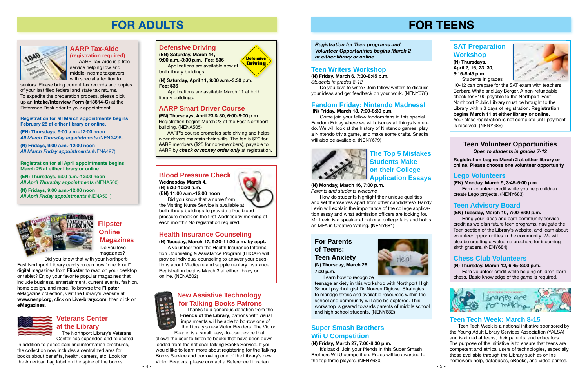#### **Teen Volunteer Opportunities** *Open to students in grades 7-12*



*Volunteer Opportunities begins March 2 at either library or online.*

## **FOR TEENS**

**Registration begins March 2 at either library or online. Please choose one volunteer opportunity.**

#### **SAT Preparation Workshop**

**(N) Thursdays, April 2, 16, 23, 30, 6:15-8:45 p.m.** 

Students in grades



10-12 can prepare for the SAT exam with teachers Barbara White and Jay Berger. A non-refundable check for \$100 payable to the Northport-East Northport Public Library must be brought to the Library within 3 days of registration. **Registration begins March 11 at either library or online.** Your class registration is not complete until payment is received. ([NENY686\)](http://alpha2.suffolk.lib.ny.us/search/?searchtype=X&SORT=D&searcharg=neny686&searchscope=43)

Come join your fellow fandom fans in this special Fandom Friday where we will discuss all things Nintendo. We will look at the history of Nintendo games, play a Nintendo trivia game, and make some crafts. Snacks will also be available. [\(NENY679](http://alpha2.suffolk.lib.ny.us/search/?searchtype=X&SORT=D&searcharg=neny679&searchscope=43))



It's back! Join your friends in this Super Smash Brothers Wii U competition. Prizes will be awarded to the top three players. [\(NENY680\)](http://alpha2.suffolk.lib.ny.us/search/?searchtype=X&SORT=D&searcharg=neny680&searchscope=43)

#### **Teen Writers Workshop**

**(N) Friday, March 6, 7:30-8:45 p.m.**  *Students in grades 8-12* 

Do you love to write? Join fellow writers to discuss your ideas and get feedback on your work. ([NENY678](http://alpha2.suffolk.lib.ny.us/search/?searchtype=X&SORT=D&searcharg=neny686&searchscope=43))

#### **Fandom Friday: Nintendo Madness!**

 **(N) Friday, March 13, 7:00-8:30 p.m.**

#### **Super Smash Brothers Wii U Competition**

#### **(N) Friday, March 27, 7:00-8:30 p.m.**

#### **The Top 5 Mistakes Students Make on their College Application Essays**

#### **(N) Monday, March 16, 7:00 p.m.**

*Parents and students welcome*

How do students highlight their unique qualities and set themselves apart from other candidates? Randy Levin will explain the importance of the college application essay and what admission officers are looking for. Mr. Levin is a speaker at national college fairs and holds an MFA in Creative Writing. ([NENY681](http://alpha2.suffolk.lib.ny.us/search/?searchtype=X&SORT=D&searcharg=neny681&searchscope=43))

#### **For Parents of Teens: Teen Anxiety (N) Thursday, March 26, 7:00 p.m.**



Learn how to recognize

teenage anxiety in this workshop with Northport High School psychologist Dr. Noreen Digiose. Strategies to manage stress and available resources within the school and community will also be explored. This workshop is geared towards parents of middle school and high school students. ([NENY682\)](http://alpha2.suffolk.lib.ny.us/search/?searchtype=X&SORT=D&searcharg=neny682&searchscope=43)

#### **Lego Volunteers**

**(EN) Monday, March 9, 3:45-5:00 p.m.** Earn volunteer credit while you help children create Lego projects. ([NENY683](http://alpha2.suffolk.lib.ny.us/search/?searchtype=X&SORT=D&searcharg=neny683&searchscope=43))

#### **Teen Advisory Board**

#### **(EN) Tuesday, March 10, 7:00-8:00 p.m.**

Bring your ideas and earn community service credit as we plan future teen programs, navigate the Teen section of the Library's website, and learn about volunteer opportunities in the community. We will also be creating a welcome brochure for incoming sixth graders. [\(NENY684\)](http://alpha2.suffolk.lib.ny.us/search/?searchtype=X&SORT=D&searcharg=neny684&searchscope=43)

#### **Chess Club Volunteers**

#### **(N) Thursday, March 12, 6:45-8:00 p.m.**

Earn volunteer credit while helping children learn chess. Basic knowledge of the game is required.



#### **Teen Tech Week: March 8-15**

Teen Tech Week is a national initiative sponsored by the Young Adult Library Services Association (YALSA) and is aimed at teens, their parents, and educators. The purpose of the initiative is to ensure that teens are competent and ethical users of technologies, especially those available through the Library such as online homework help, databases, eBooks, and video games.

#### **AARP Tax-Aide**

**(registration required)** AARP Tax-Aide is a free service helping low and middle-income taxpayers, with special attention to

seniors. Please bring current tax records and copies of your last filed federal and state tax returns. To expedite the preparation process, please pick up an **Intake/Interview Form (#13614-C)** at the Reference Desk prior to your appointment.

**Registration for all March appointments begins February 25 at either library or online.** 

**(EN) Thursdays, 9:00 a.m.-12:00 noon** *All March Thursday appointments* ([NENA496\)](http://alpha2.suffolk.lib.ny.us/search/?searchtype=X&SORT=D&searcharg=nena496&searchscope=43)

**(N) Fridays, 9:00 a.m.-12:00 noon**  *All March Friday appointments* ([NENA497\)](http://alpha2.suffolk.lib.ny.us/search/?searchtype=X&SORT=D&searcharg=nena497&searchscope=43)

**Registration for all April appointments begins March 25 at either library or online.** 

**(EN) Thursdays, 9:00 a.m.-12:00 noon** *All April Thursday appointments* ([NENA500\)](http://alpha2.suffolk.lib.ny.us/search/?searchtype=X&SORT=D&searcharg=nena500&searchscope=43)

**(N) Fridays, 9:00 a.m.-12:00 noon**  *All April Friday appointments* ([NENA501\)](http://alpha2.suffolk.lib.ny.us/search/?searchtype=X&SORT=D&searcharg=nena501&searchscope=43)





#### **Defensive Driving**

**(EN) Saturday, March 14,** 

**9:00 a.m.-3:30 p.m. Fee: \$36** Applications are available now at both library buildings.

**(N) Saturday, April 11, 9:00 a.m.-3:30 p.m. Fee: \$36**

Applications are available March 11 at both library buildings.

#### **AARP Smart Driver Course**

**(EN) Thursdays, April 23 & 30, 6:00-9:00 p.m.** Registration begins March 28 at the East Northport building. [\(NENA505\)](http://alpha2.suffolk.lib.ny.us/search/?searchtype=X&SORT=D&searcharg=nena505&searchscope=43)

AARP's course promotes safe driving and helps older drivers maintain their skills. The fee is \$20 for AARP members (\$25 for non-members), payable to AARP by *check or money order only* at registration.

## **FOR ADULTS**



#### **New Assistive Technology for Talking Books Patrons**

 Thanks to a generous donation from the **Friends of the Library**, patrons with visual impairments will be able to borrow one of the Library's new Victor Readers. The Victor Reader is a small, easy-to-use device that

allows the user to listen to books that have been downloaded from the national Talking Books Service. If you would like to learn more about registering for the Talking Books Service and borrowing one of the Library's new Victor Readers, please contact a Reference Librarian.

#### **Veterans Center at the Library**

 The Northport Library's Veterans Center has expanded and relocated.

In addition to periodicals and information brochures, the collection now includes a centralized area for books about benefits, health, careers, etc. Look for the American flag label on the spine of the books.

#### **Blood Pressure Check**

**Wednesday March 4, (N) 9:30-10:30 a.m. (EN) 11:00 a.m.-12:00 noon**

Did you know that a nurse from the Visiting Nurse Service is available at both library buildings to provide a free blood pressure check on the first Wednesday morning of each month? No registration required.

#### **Health Insurance Counseling**

**(N) Tuesday, March 17, 9:30-11:30 a.m. by appt.**

A volunteer from the Health Insurance Information Counseling & Assistance Program (HIICAP) will provide individual counseling to answer your questions about Medicare and supplementary insurance. Registration begins March 3 at either library or online. [\(NENA502\)](http://alpha2.suffolk.lib.ny.us/search/?searchtype=X&SORT=D&searcharg=nena502&searchscope=43)



#### **Flipster Online Magazines** Do you love

magazines? Did you know that with your Northport-

East Northport Library card you can now "check out" digital magazines from **Flipster** to read on your desktop or tablet? Enjoy your favorite popular magazines that include business, entertainment, current events, fashion, home design, and more. To browse the **Flipste**r eMagazine collection, visit the Library's website at **www.nenpl.org**, click on **Live-brary.com**, then click on **eMagazines**.

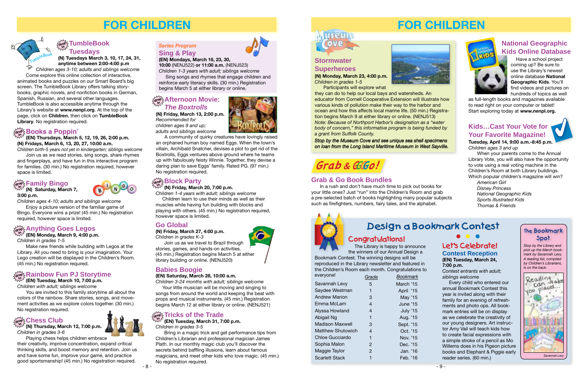## **FOR CHILDREN**



*Stop by the Library and pick up the March bookmark by Savannah Levy. A reading list, compiled by Children's Librarians, is on the back.*



#### **The Bookmark Spot**

Let's Celebrate! **• • • Contest Reception (EN) Tuesday, March 24, 7:00 p.m.**

*Contest entrants with adult; siblings welcome*

 Every child who entered our annual Bookmark Contest this year is invited along with their family for an evening of refreshments and photo ops. All bookmark entries will be on display as we celebrate the creativity of our young designers. Art instructor Amy Vail will teach kids how to create facial expressions with a simple stroke of a pencil as Mo Willems does in his Pigeon picture books and Elephant & Piggie early reader series. (60 min.)

#### **Grab & Go Book Bundles**

In a rush and don't have much time to pick out books for your little ones? Just "run" into the Children's Room and grab a pre-selected batch of books highlighting many popular subjects such as firefighters, numbers, fairy tales, and the alphabet.

#### **Stormwater Superheroes**

**(N) Monday, March 23, 4:00 p.m.** *Children in grades 1-5*

Participants will explore what

they can do to help our local bays and watersheds. An educator from Cornell Cooperative Extension will illustrate how various kinds of pollution make their way to the harbor and ocean and how this affects local marine life. (50 min.) Registration begins March 9 at either library or online. [\(NENJ513\)](http://alpha2.suffolk.lib.ny.us/search/?searchtype=X&SORT=D&searcharg=nenj513&searchscope=43) *Note: Because of Northport Harbor's designation as a "water body of concern," this informative program is being funded by a grant from Suffolk County.*

> The Library is happy to announce the winners of our Annual Design a

Bookmark Contest. The winning designs will be reproduced in the Library newsletter and featured in the Children's Room each month. Congratulations to

| everyone!              | Grade | Bookmark        |  |
|------------------------|-------|-----------------|--|
| Savannah Levy          | 5     | March '15       |  |
| Saydee Westman         |       | April '15       |  |
| <b>Andrew Marion</b>   | З     | May '15         |  |
| Emma McLam             | 4     | June '15        |  |
| Alyssa Howland         | 4     | <b>July '15</b> |  |
| Abigail Ng             | 1     | Aug. '15        |  |
| <b>Madison Maxwell</b> | 3     | Sept. '15       |  |
| Matthew Shutowich      | 4     | Oct. '15        |  |
| Chloe Gucciardo        | 1     | Nov. '15        |  |
| Sophia Malon           | 2     | Dec. '15        |  |
| Maggie Taylor          | 2     | Jan. '16        |  |
| <b>Scarlett Stack</b>  |       | Feb. '16        |  |
|                        |       |                 |  |



















# Congratulations!

#### **Kids…Cast Your Vote for Your Favorite Magazine!**

**Tuesday, April 14, 9:00 a.m.-8:45 p.m.**  *Children ages 3 and up*

#### $\frac{1}{\alpha! \alpha!}$  Tricks of the Trade **in**

When your parents come to the Annual Library Vote, you will also have the opportunity to vote using a real voting machine in the Children's Room at both Library buildings. Which popular children's magazine will win?

*American Girl Disney Princess National Geographic Kids Sports Illustrated Kids Thomas & Friends*

## Design a Bookmark Contest

# Grab & GGGGo!

4

 Have a school project coming up? Be sure to use the Library's newest online database **National Geographic Kids**. You'll find videos and pictures on hundreds of topics as well

as full-length books and magazines available to read right on your computer or tablet! Start exploring today at **www.nenpl.org.**

#### **National Geographic Kids Online Database**

*Stop by the Museum Cove and see unique sea shell specimens on loan from the Long Island Maritime Museum in West Sayville.*

#### **drop in Books a Poppin'**

**(EN) Thursdays, March 5, 12, 19, 26, 2:00 p.m. (N) Fridays, March 6, 13, 20, 27, 10:00 a.m.**

#### **TumbleBook Tuesdays in**

*Children birth-5 years not yet in kindergarten; siblings welcome* Join us as we read stories, sing songs, share rhymes and fingerplays, and have fun in this interactive program for families. (30 min.) No registration required, however space is limited.

#### $\frac{\partial \mathbf{p}}{\partial \mathbf{p}}$  Afternoon Movie: *The Boxtrolls*

**(N) Thursday, March 12, 7:00 p.m. in** *Children in grades 3-6*

Playing chess helps children embrace their creativity, improve concentration, expand critical thinking skills, and boost memory and retention. Join us and have some fun, improve your game, and practice good sportsmanship! (45 min.) No registration required.

*Children with adult; siblings welcome*

**(EN) Tuesday, March 10, 7:00 p.m. in**

You are invited to this family storytime all about the colors of the rainbow. Share stories, songs, and movement activities as we explore colors together. (30 min.) No registration required.

## $\frac{\sum\limits_{\alpha\in\mathcal{P}}\mathbb{E}}{C}$ hess Club

**(EN) Mondays, March 16, 23, 30,** 

**10:00** ([NENJ522](http://alpha2.suffolk.lib.ny.us/search/?searchtype=X&SORT=D&searcharg=nenj522&searchscope=43)) **or 11:00 a.m.** [\(NENJ523\)](http://alpha2.suffolk.lib.ny.us/search/?searchtype=X&SORT=D&searcharg=nenj523&searchscope=43) *Children 1-3 years with adult; siblings welcome*

 Sing songs and rhymes that engage children and reinforce early literacy skills. (30 min.) Registration begins March 5 at either library or online.



## **FOR CHILDREN**

**(EN) Tuesday, March 31, 7:00 p.m.** *Children in grades 3-5*

Bring in a magic trick and get performance tips from Children's Librarian and professional magician James Plath. In our monthly magic club you'll discover the secrets behind baffling illusions, learn about famous magicians, and meet other kids who love magic. (45 min.) No registration required.



#### **Go Global**

**(N) Friday, March 27, 4:00 p.m.**

*Children in grades K-3*

Join us as we travel to Brazil through stories, games, and hands-on activities. (45 min.) Registration begins March 5 at either library building or online. [\(NENJ520](http://alpha2.suffolk.lib.ny.us/search/?searchtype=X&SORT=D&searcharg=nenj520&searchscope=43))



*Children 3-24 months with adult; siblings welcome*

 Your little musician will be moving and singing to songs from around the world and keeping the beat with props and musical instruments. (45 min.) Registration begins March 12 at either library or online. [\(NENJ521\)](http://alpha2.suffolk.lib.ny.us/search/?searchtype=X&SORT=D&searcharg=nenj521&searchscope=43)

**(N) Saturday, March 7,** 

#### $\mathbb{W}^{\mathcal{F}}$  (EN) Monday, March 9, 4:00 p.m.

**3:00 p.m.** *Children ages 4-10; adults and siblings welcome* Enjoy a picture version of the familiar game of

Bingo. Everyone wins a prize! (45 min.) No registration required, however space is limited.

#### $\frac{1}{\alpha! \alpha!}$  Anything Goes Legos

*Children in grades 1-5*

#### **Sing & Play** *Series Program*

Make new friends while building with Legos at the Library. All you need to bring is your imagination. Your Lego creation will be displayed in the Children's Room. (45 min.) No registration required.

#### $\mathbb{E} \mathbb{E} \mathbb{E} \mathbb{E} \mathbb{E} \mathbb{E}$  Rainbow Fun PJ Storytime

#### **(N) Friday, March 20, 7:00 p.m.**

*Children 1-4 years with adult; siblings welcome*

 Children learn to use their minds as well as their muscles while having fun building with blocks and playing with others. (45 min.) No registration required, however space is limited.

#### **Family Bingo drop in**

**(N) Tuesdays March 3, 10, 17, 24, 31, anytime between 2:00-4:00 p.m** 

*Children ages 3-10; adults and siblings welcome* Come explore this online collection of interactive, animated books and puzzles on our Smart Board's big screen. The TumbleBook Library offers talking storybooks, graphic novels, and nonfiction books in German, Spanish, Russian, and several other languages. TumbleBook is also accessible anytime through the Library's website at **www.nenpl.org**. At the top of the page, click on **Children**, then click on **TumbleBook Library**. No registration required.

TumbleBoo<sup>k</sup>

**(N) Friday, March 13, 2:00 p.m.** *Recommended for children ages 9 and up;* 

*adults and siblings welcome*

A community of quirky creatures have lovingly raised an orphaned human boy named Eggs. When the town's villain, Archibald Snatcher, devises a plot to get rid of the Boxtrolls, Eggs ventures above ground where he teams up with fabulously feisty Winnie. Together, they devise a daring plan to save Eggs' family. Rated PG. (97 min.) No registration required.

## **Block Party**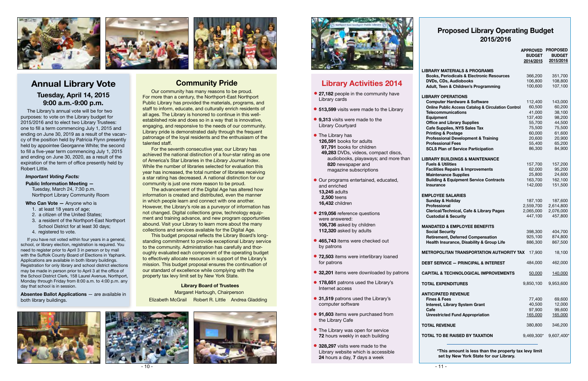> **\*This amount is less than the property tax levy limit set by New York State for our Library.**

#### **Proposed Library Operating Budget 2015/2016**

#### **EMPL**

**MAND Social Security**

- **TOTAL**
- **ANTIC Fine**

 $\overline{A}$  **rotal** 

|                                                               | <b>APPROVED</b><br><b>BUDGET</b><br>2014/2015 | <b>PROPOSED</b><br><b>BUDGET</b><br>2015/2016 |
|---------------------------------------------------------------|-----------------------------------------------|-----------------------------------------------|
| <b>LIBRARY MATERIALS &amp; PROGRAMS</b>                       |                                               |                                               |
| <b>Books, Periodicals &amp; Electronic Resources</b>          | 366,200                                       | 351,700                                       |
| <b>DVDs, CDs, Audiobooks</b>                                  | 106,800                                       | 108,800                                       |
| Adult, Teen & Children's Programming                          | 100,600                                       | 107,100                                       |
| <b>LIBRARY OPERATIONS</b>                                     |                                               |                                               |
| <b>Computer Hardware &amp; Software</b>                       | 112,400                                       | 143,000                                       |
| <b>Online Public Access Catalog &amp; Circulation Control</b> | 60,500                                        | 60,200                                        |
| <b>Telecommunications</b>                                     | 41,000                                        | 38,100                                        |
| <b>Equipment</b>                                              | 137,400                                       | 98,200                                        |
| <b>Office and Library Supplies</b>                            | 55,700                                        | 44,500                                        |
| <b>Cafe Supplies, NYS Sales Tax</b>                           | 75,500                                        | 75,500                                        |
| <b>Printing &amp; Postage</b>                                 | 60,000                                        | 61,600                                        |
| <b>Professional Development &amp; Training</b>                | 20,600                                        | 20,900                                        |
| <b>Professional Fees</b>                                      | 55,400                                        | 65,200                                        |
| <b>SCLS Plan of Service Participation</b>                     | 86,300                                        | 84,900                                        |
| <b>LIBRARY BUILDINGS &amp; MAINTENANCE</b>                    |                                               |                                               |
| <b>Fuels &amp; Utilities</b>                                  | 157,700                                       | 157,200                                       |
| <b>Facilities Repairs &amp; Improvements</b>                  | 62,000                                        | 95,200                                        |
| <b>Maintenance Supplies</b>                                   | 25,800                                        | 24,600                                        |
| <b>Building &amp; Equipment Service Contracts</b>             | 163,700                                       | 162,100                                       |
| <b>Insurance</b>                                              | 142,000                                       | 151,500                                       |
| <b>EMPLOYEE SALARIES</b>                                      |                                               |                                               |
| <b>Sunday &amp; Holiday</b>                                   | 187,100                                       | 187,600                                       |
| <b>Professional</b>                                           | 2,559,700                                     | 2,614,800                                     |
| <b>Clerical/Technical, Cafe &amp; Library Pages</b>           | 2,065,000                                     | 2,076,000                                     |
| <b>Custodial &amp; Security</b>                               | 447,100                                       | 457,800                                       |
| <b>MANDATED &amp; EMPLOYEE BENEFITS</b>                       |                                               |                                               |
| <b>Social Security</b>                                        | 398,300                                       | 404,700                                       |
| <b>Retirement, Deferred Compensation</b>                      | 925,100                                       | 874,800                                       |
| Health Insurance, Disability & Group Life                     | 886,300                                       | 867,500                                       |
| <b>METROPOLITAN TRANSPORTATION AUTHORITY TAX</b>              | 17,900                                        | 18,100                                        |
| DEBT SERVICE - PRINCIPAL & INTEREST                           | 484,000                                       | 462,000                                       |
| <b>CAPITAL &amp; TECHNOLOGICAL IMPROVEMENTS</b>               | 50,000                                        | 140,000                                       |
| <b>TOTAL EXPENDITURES</b>                                     | 9,850,100                                     | 9,953,600                                     |
| <b>ANTICIPATED REVENUE</b>                                    |                                               |                                               |
| <b>Fines &amp; Fees</b>                                       | 77,400                                        | 69,600                                        |
| Interest, Library System Grant                                | 40,500                                        | 12,000                                        |
| Cafe                                                          | 97,900                                        | 99,600                                        |
| <b>Unrestricted Fund Appropriation</b>                        | 165,000                                       | 165,000                                       |
| <b>TOTAL REVENUE</b>                                          | 380,800                                       | 346,200                                       |
| TOTAL TO BE RAISED BY TAXATION                                |                                               | 9,469,300* 9,607,400*                         |
|                                                               |                                               |                                               |

- **27,182** people in the community have Library cards
- **6 513,599** visits were made to the Library
- **9,313** visits were made to the Library Courtyard
- **•** The Library has **126,591** books for adults  **97,791** books for children  **49,283** DVDs, videos, compact discs, audiobooks, playaways; and more than **820** newspaper and magazine subscriptions
- **Our programs entertained, educated,** and enriched **13,245** adults  **2,500** teens **16,432** children
- **219,056** reference questions l were answered: **106,736** asked by children **112,320** asked by adults
- **465,743** items were checked out l by patrons
- **72,503** items were interlibrary loaned l for patrons
- **32,201** items were downloaded by patrons
- **178,651** patrons used the Library's Internet access
- **31,519** patrons used the Library's computer software
- **91,603** items were purchased from the Library Cafe
- **The Library was open for service 72** hours weekly in each building
- **328,297** visits were made to the Library website which is accessible **24** hours a day, **7** days a week

## **Library Activities 2014**

- 10 -



#### *Important Voting Facts:*

#### **Public Information Meeting —**  Tuesday, March 24, 7:30 p.m. Northport Library Community Room

**Who Can Vote —** Anyone who is

- 1. at least 18 years of age;
- 2. a citizen of the United States;
- 3. a resident of the Northport-East Northport School District for at least 30 days;
- 4. registered to vote.

If you have not voted within four years in a general, school, or library election, registration is required. You need to register prior to April 3 in person or by mail with the Suffolk County Board of Elections in Yaphank. Applications are available in both library buildings. Registration for only library and school district elections may be made in person prior to April 3 at the office of the School District Clerk, 158 Laurel Avenue, Northport, Monday through Friday from 8:00 a.m. to 4:00 p.m. any day that school is in session.

**Absentee Ballot Applications** — are available in both library buildings.





#### **Annual Library Vote Tuesday, April 14, 2015 9:00 a.m.-9:00 p.m.**

**Community Pride**

 **Library Board of Trustees** Margaret Hartough, Chairperson Elizabeth McGrail Robert R. Little Andrea Gladding



Our community has many reasons to be proud. For more than a century, the Northport-East Northport Public Library has provided the materials, programs, and staff to inform, educate, and culturally enrich residents of all ages. The Library is honored to continue in this wellestablished role and does so in a way that is innovative, engaging, and responsive to the needs of our community. Library pride is demonstrated daily through the frequent patronage of the loyal residents and the enthusiasm of the





talented staff.



For the seventh consecutive year, our Library has achieved the national distinction of a four-star rating as one of America's Star Libraries in the *Library Journal Index*. While the number of libraries selected for evaluation this year has increased, the total number of libraries receiving a star rating has decreased. A national distinction for our

community is just one more reason to be proud.

The advancement of the Digital Age has altered how information is created and distributed, even the manner in which people learn and connect with one another.

However, the Library's role as a purveyor of information has not changed. Digital collections grow, technology equipment and training advance, and new program opportunities abound. Visit your Library to learn more about the many collections and services available for the Digital Age.

This budget proposal reflects the Library Board's longstanding commitment to provide exceptional Library service to the community. Administration has carefully and thoroughly evaluated each component of the operating budget to effectively allocate resources in support of the Library's mission. This budget proposal ensures the continuation of our standard of excellence while complying with the property tax levy limit set by New York State.

The Library's annual vote will be for two purposes: to vote on the Library budget for 2015/2016 and to elect two Library Trustees: one to fill a term commencing July 1, 2015 and ending on June 30, 2019 as a result of the vacancy of the position held by Patricia Flynn presently held by appointee Georganne White; the second to fill a five-year term commencing July 1, 2015 and ending on June 30, 2020, as a result of the expiration of the term of office presently held by Robert Little.